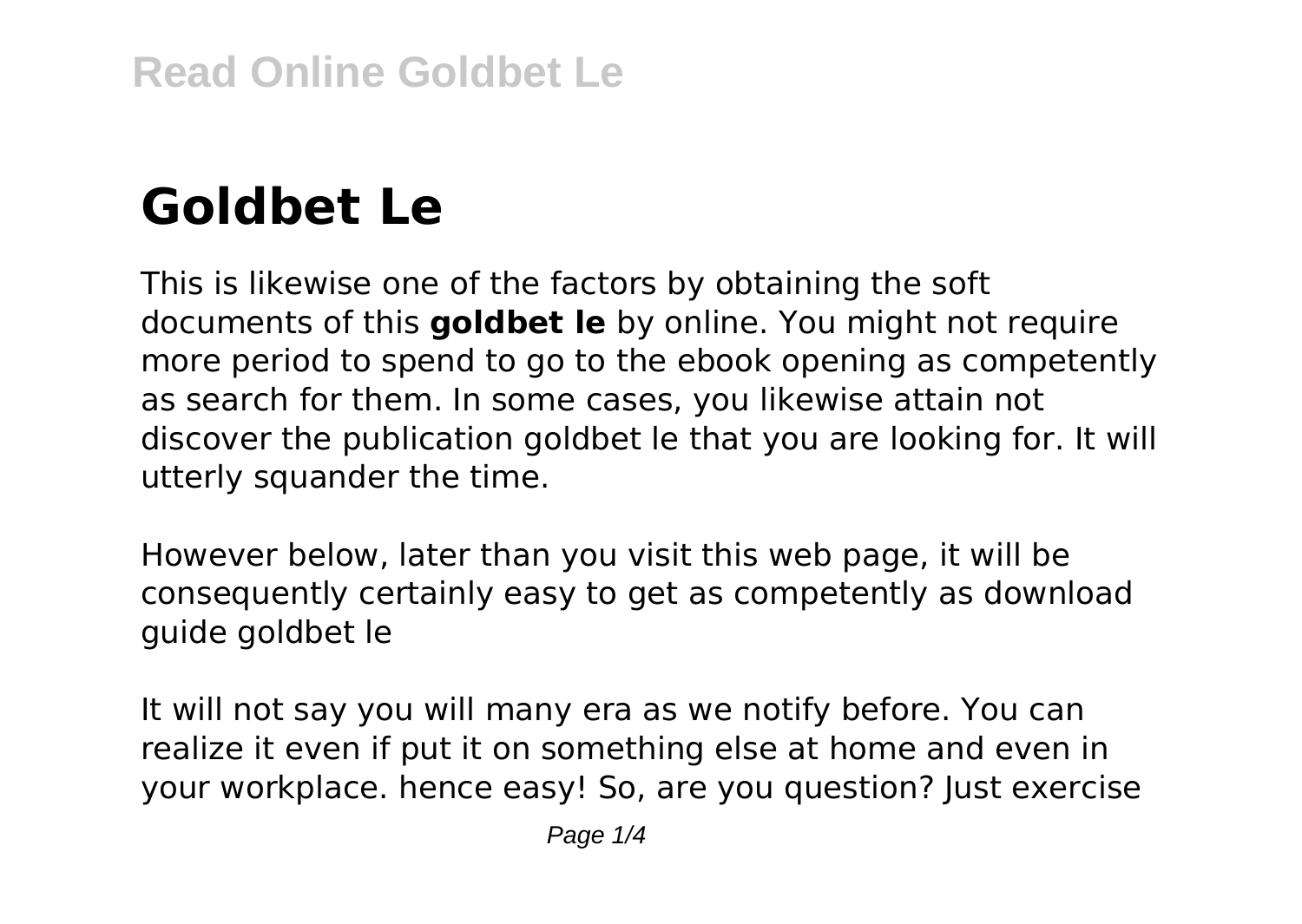# **Goldbet Le**

This is likewise one of the factors by obtaining the soft documents of this **goldbet le** by online. You might not require more period to spend to go to the ebook opening as competently as search for them. In some cases, you likewise attain not discover the publication goldbet le that you are looking for. It will utterly squander the time.

However below, later than you visit this web page, it will be consequently certainly easy to get as competently as download guide goldbet le

It will not say you will many era as we notify before. You can realize it even if put it on something else at home and even in your workplace. hence easy! So, are you question? Just exercise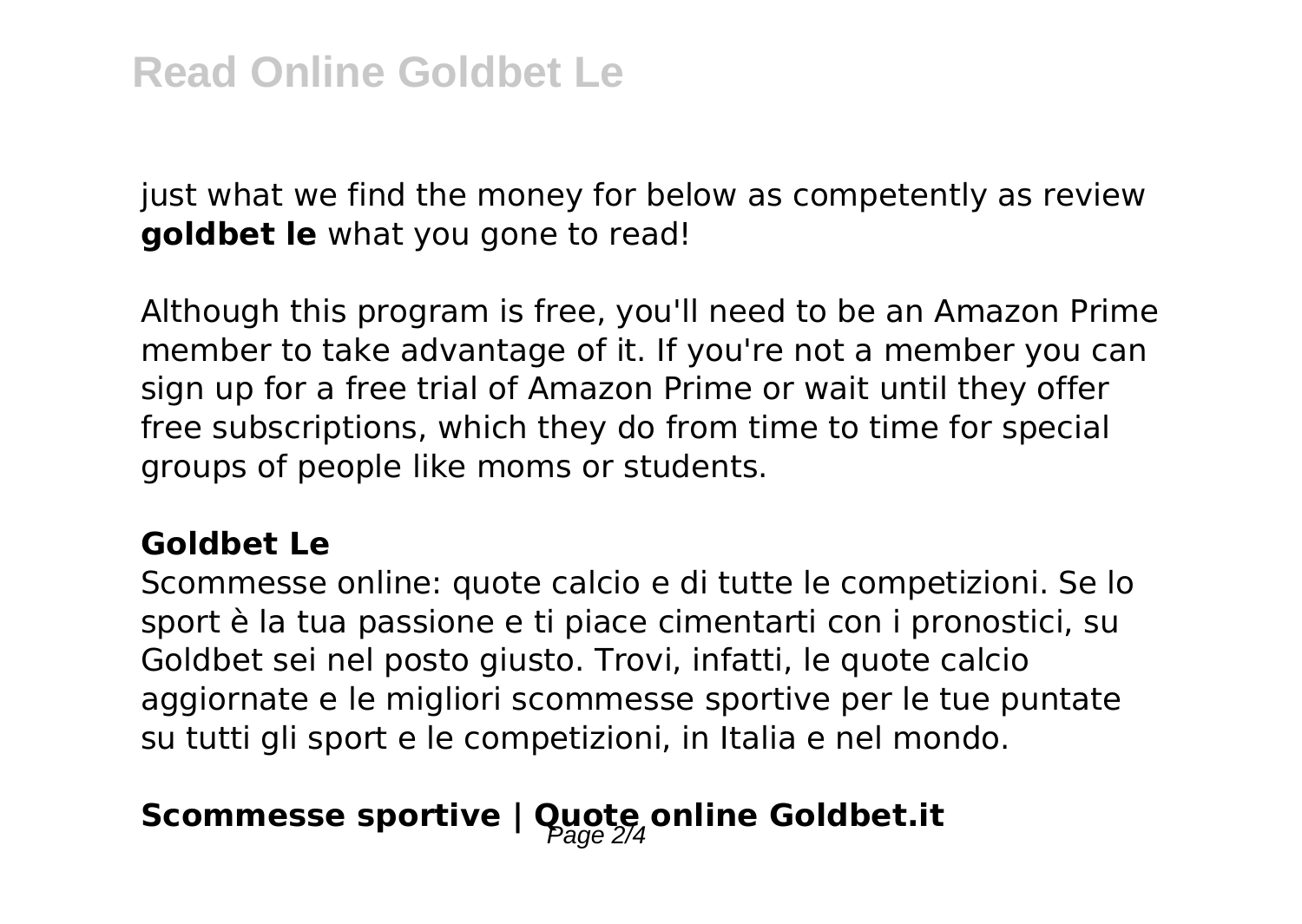just what we find the money for below as competently as review **goldbet le** what you gone to read!

Although this program is free, you'll need to be an Amazon Prime member to take advantage of it. If you're not a member you can sign up for a free trial of Amazon Prime or wait until they offer free subscriptions, which they do from time to time for special groups of people like moms or students.

#### **Goldbet Le**

Scommesse online: quote calcio e di tutte le competizioni. Se lo sport è la tua passione e ti piace cimentarti con i pronostici, su Goldbet sei nel posto giusto. Trovi, infatti, le quote calcio aggiornate e le migliori scommesse sportive per le tue puntate su tutti gli sport e le competizioni, in Italia e nel mondo.

## Scommesse sportive | Quote online Goldbet.it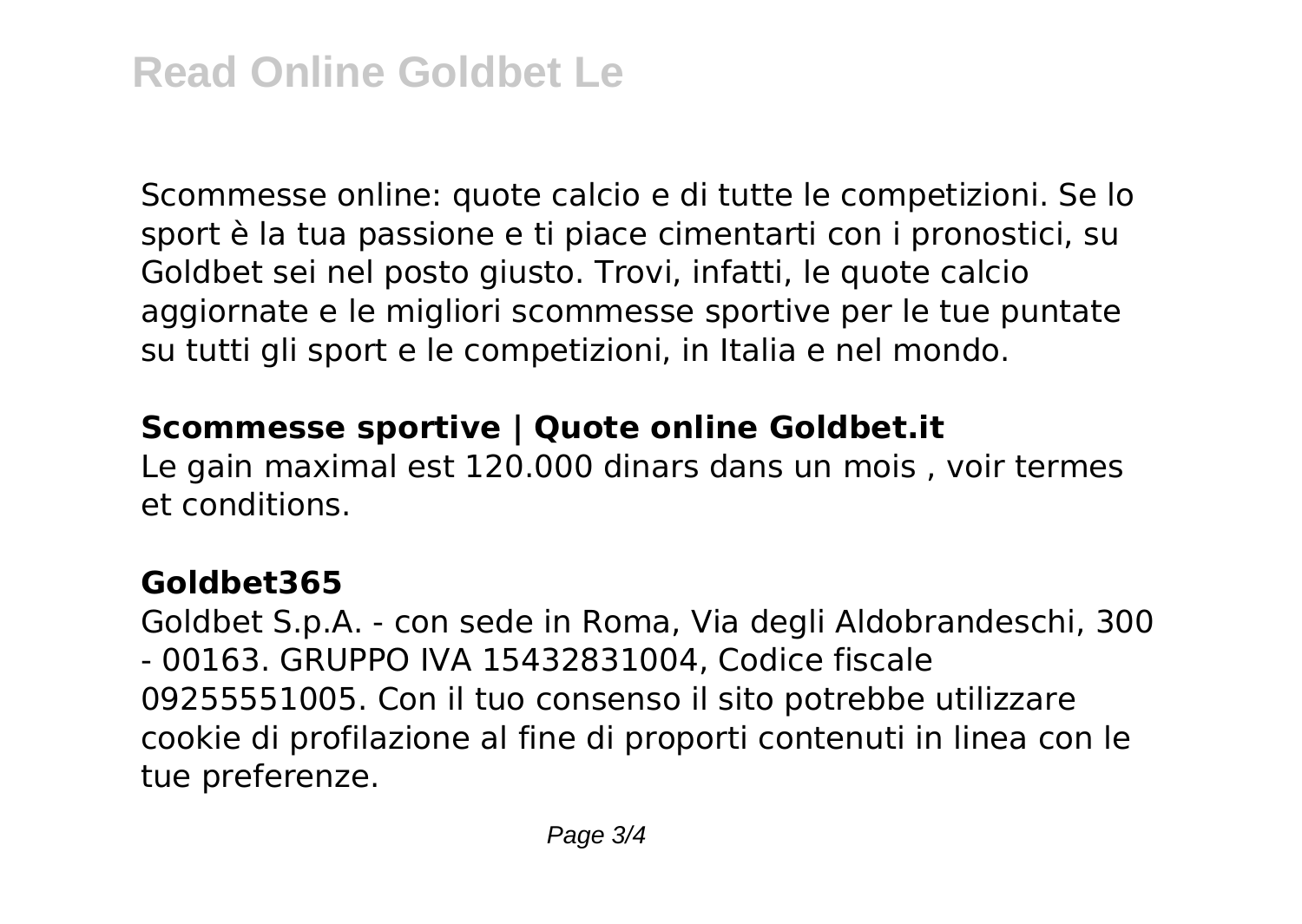Scommesse online: quote calcio e di tutte le competizioni. Se lo sport è la tua passione e ti piace cimentarti con i pronostici, su Goldbet sei nel posto giusto. Trovi, infatti, le quote calcio aggiornate e le migliori scommesse sportive per le tue puntate su tutti gli sport e le competizioni, in Italia e nel mondo.

#### **Scommesse sportive | Quote online Goldbet.it**

Le gain maximal est 120.000 dinars dans un mois , voir termes et conditions.

### **Goldbet365**

Goldbet S.p.A. - con sede in Roma, Via degli Aldobrandeschi, 300 - 00163. GRUPPO IVA 15432831004, Codice fiscale 09255551005. Con il tuo consenso il sito potrebbe utilizzare cookie di profilazione al fine di proporti contenuti in linea con le tue preferenze.